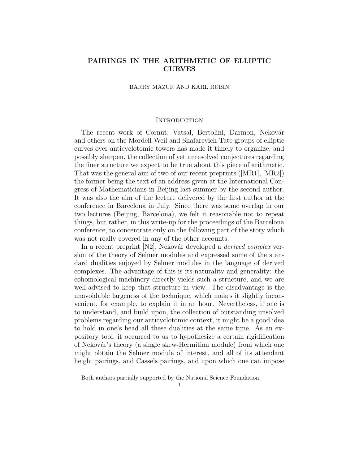# PAIRINGS IN THE ARITHMETIC OF ELLIPTIC CURVES

# BARRY MAZUR AND KARL RUBIN

#### **INTRODUCTION**

The recent work of Cornut, Vatsal, Bertolini, Darmon, Nekovár and others on the Mordell-Weil and Shafarevich-Tate groups of elliptic curves over anticyclotomic towers has made it timely to organize, and possibly sharpen, the collection of yet unresolved conjectures regarding the finer structure we expect to be true about this piece of arithmetic. That was the general aim of two of our recent preprints ([MR1], [MR2]) the former being the text of an address given at the International Congress of Mathematicians in Beijing last summer by the second author. It was also the aim of the lecture delivered by the first author at the conference in Barcelona in July. Since there was some overlap in our two lectures (Beijing, Barcelona), we felt it reasonable not to repeat things, but rather, in this write-up for the proceedings of the Barcelona conference, to concentrate only on the following part of the story which was not really covered in any of the other accounts.

In a recent preprint [N2], Nekovár developed a *derived complex* version of the theory of Selmer modules and expressed some of the standard dualities enjoyed by Selmer modules in the language of derived complexes. The advantage of this is its naturality and generality: the cohomological machinery directly yields such a structure, and we are well-advised to keep that structure in view. The disadvantage is the unavoidable largeness of the technique, which makes it slightly inconvenient, for example, to explain it in an hour. Nevertheless, if one is to understand, and build upon, the collection of outstanding unsolved problems regarding our anticyclotomic context, it might be a good idea to hold in one's head all these dualities at the same time. As an expository tool, it occurred to us to hypothesize a certain rigidification of Nekovár's theory (a single skew-Hermitian module) from which one might obtain the Selmer module of interest, and all of its attendant height pairings, and Cassels pairings, and upon which one can impose

Both authors partially supported by the National Science Foundation.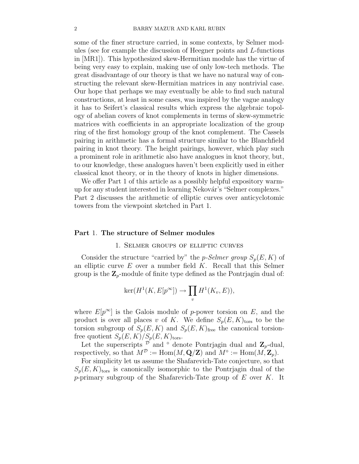some of the finer structure carried, in some contexts, by Selmer modules (see for example the discussion of Heegner points and L-functions in [MR1]). This hypothesized skew-Hermitian module has the virtue of being very easy to explain, making use of only low-tech methods. The great disadvantage of our theory is that we have no natural way of constructing the relevant skew-Hermitian matrices in any nontrivial case. Our hope that perhaps we may eventually be able to find such natural constructions, at least in some cases, was inspired by the vague analogy it has to Seifert's classical results which express the algebraic topology of abelian covers of knot complements in terms of skew-symmetric matrices with coefficients in an appropriate localization of the group ring of the first homology group of the knot complement. The Cassels pairing in arithmetic has a formal structure similar to the Blanchfield pairing in knot theory. The height pairings, however, which play such a prominent role in arithmetic also have analogues in knot theory, but, to our knowledge, these analogues haven't been explicitly used in either classical knot theory, or in the theory of knots in higher dimensions.

We offer Part 1 of this article as a possibly helpful expository warmup for any student interested in learning Nekovár's "Selmer complexes." Part 2 discusses the arithmetic of elliptic curves over anticyclotomic towers from the viewpoint sketched in Part 1.

## Part 1. The structure of Selmer modules

### 1. Selmer groups of elliptic curves

Consider the structure "carried by" the p-Selmer group  $S_p(E, K)$  of an elliptic curve  $E$  over a number field  $K$ . Recall that this Selmer group is the  $\mathbb{Z}_p$ -module of finite type defined as the Pontrjagin dual of:

$$
\ker(H^1(K, E[p^{\infty}]) \to \prod_v H^1(K_v, E)),
$$

where  $E[p^{\infty}]$  is the Galois module of p-power torsion on E, and the product is over all places v of K. We define  $S_p(E, K)_{\text{tors}}$  to be the torsion subgroup of  $S_p(E, K)$  and  $S_p(E, K)$ <sub>free</sub> the canonical torsionfree quotient  $S_p(E, K)/S_p(E, K)_{tors}$ .

Let the superscripts  $\overline{\mathcal{D}}$  and  $\circ$  denote Pontrjagin dual and  $\mathbf{Z}_p$ -dual, respectively, so that  $M^{\mathcal{D}} := \text{Hom}(M, \mathbf{Q}/\mathbf{Z})$  and  $M^{\diamond} := \text{Hom}(M, \mathbf{Z}_p)$ .

For simplicity let us assume the Shafarevich-Tate conjecture, so that  $S_p(E, K)_{\text{tors}}$  is canonically isomorphic to the Pontrjagin dual of the p-primary subgroup of the Shafarevich-Tate group of  $E$  over  $K$ . It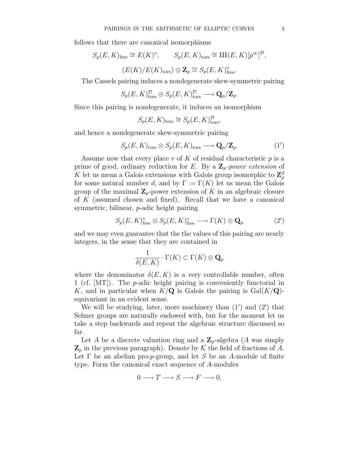follows that there are canonical isomorphisms

$$
S_p(E, K)_{\text{free}} \cong E(K)^{\diamond}, \qquad S_p(E, K)_{\text{tors}} \cong \text{III}(E, K)[p^{\infty}]^{\mathcal{D}},
$$

$$
(E(K)/E(K)_{\text{tors}}) \otimes \mathbf{Z}_p \cong S_p(E, K)_{\text{free}}^{\diamond}.
$$

The Cassels pairing induces a nondegenerate skew-symmetric pairing

$$
S_p(E, K)_{\text{tors}}^{\mathcal{D}} \otimes S_p(E, K)_{\text{tors}}^{\mathcal{D}} \longrightarrow \mathbf{Q}_p/\mathbf{Z}_p.
$$

Since this pairing is nondegenerate, it induces an isomorphism

$$
S_p(E, K)_{\text{tors}} \cong S_p(E, K)^{\mathcal{D}}_{\text{tors}},
$$

and hence a nondegenerate skew-symmetric pairing

$$
S_p(E, K)_{\text{tors}} \otimes S_p(E, K)_{\text{tors}} \longrightarrow \mathbf{Q}_p/\mathbf{Z}_p. \tag{1'}
$$

Assume now that every place v of K of residual characteristic  $p$  is a prime of good, ordinary reduction for E. By a  $\mathbb{Z}_p$ -power extension of K let us mean a Galois extensions with Galois group isomorphic to  $\mathbf{Z}_{p}^{d}$ for some natural number d, and by  $\Gamma := \Gamma(K)$  let us mean the Galois group of the maximal  $\mathbb{Z}_p$ -power extension of K in an algebraic closure of K (assumed chosen and fixed). Recall that we have a canonical symmetric, bilinear, p-adic height pairing

$$
S_p(E, K)_{\text{free}}^{\diamond} \otimes S_p(E, K)_{\text{free}}^{\diamond} \longrightarrow \Gamma(K) \otimes \mathbf{Q}_p \tag{2'}
$$

and we may even guarantee that the the values of this pairing are nearly integers, in the sense that they are contained in

$$
\frac{1}{\delta(E,K)} \cdot \Gamma(K) \subset \Gamma(K) \otimes \mathbf{Q}_p
$$

where the denominator  $\delta(E, K)$  is a very controllable number, often 1 (cf. [MT]). The p-adic height pairing is conveniently functorial in K, and in particular when  $K/\mathbf{Q}$  is Galois the pairing is  $Gal(K/\mathbf{Q})$ equivariant in an evident sense.

We will be studying, later, more machinery than  $(1')$  and  $(2')$  that Selmer groups are naturally endowed with, but for the moment let us take a step backwards and repeat the algebraic structure discussed so far.

Let A be a discrete valuation ring and a  $\mathbb{Z}_p$ -algebra (A was simply  $\mathbf{Z}_p$  in the previous paragraph). Denote by K the field of fractions of A. Let  $\Gamma$  be an abelian pro-*p*-group, and let S be an A-module of finite type. Form the canonical exact sequence of A-modules

$$
0 \longrightarrow T \longrightarrow S \longrightarrow F \longrightarrow 0,
$$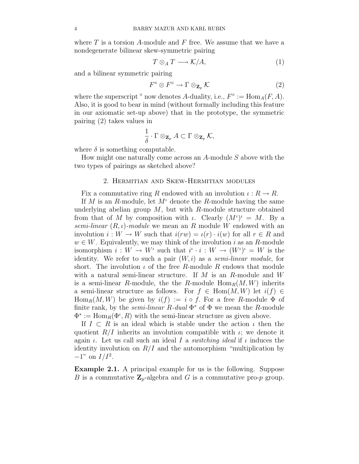where  $T$  is a torsion  $A$ -module and  $F$  free. We assume that we have a nondegenerate bilinear skew-symmetric pairing

$$
T \otimes_A T \longrightarrow \mathcal{K}/A,\tag{1}
$$

and a bilinear symmetric pairing

$$
F^{\diamond} \otimes F^{\diamond} \to \Gamma \otimes_{\mathbf{Z}_p} \mathcal{K} \tag{2}
$$

where the superscript  $\circ$  now denotes A-duality, i.e.,  $F^{\diamond} := \text{Hom}_A(F, A)$ . Also, it is good to bear in mind (without formally including this feature in our axiomatic set-up above) that in the prototype, the symmetric pairing (2) takes values in

$$
\frac{1}{\delta} \cdot \Gamma \otimes_{\mathbf{Z}_p} A \subset \Gamma \otimes_{\mathbf{Z}_p} \mathcal{K},
$$

where  $\delta$  is something computable.

How might one naturally come across an  $A$ -module  $S$  above with the two types of pairings as sketched above?

## 2. Hermitian and Skew-Hermitian modules

Fix a commutative ring R endowed with an involution  $\iota: R \to R$ .

If M is an R-module, let  $M^{\iota}$  denote the R-module having the same underlying abelian group  $M$ , but with  $R$ -module structure obtained from that of M by composition with  $\iota$ . Clearly  $(M^{\iota})^{\iota} = M$ . By a semi-linear  $(R, \iota)$ -module we mean an R module W endowed with an involution  $i: W \to W$  such that  $i(rw) = i(r) \cdot i(w)$  for all  $r \in R$  and  $w \in W$ . Equivalently, we may think of the involution i as an R-module isomorphism  $i: W \to W^i$  such that  $i^i \cdot i: W \to (W^i)^i = W$  is the identity. We refer to such a pair  $(W, i)$  as a *semi-linear module*, for short. The involution  $\iota$  of the free R-module R endows that module with a natural semi-linear structure. If  $M$  is an  $R$ -module and  $W$ is a semi-linear R-module, the the R-module  $\text{Hom}_R(M, W)$  inherits a semi-linear structure as follows. For  $f \in Hom(M, W)$  let  $i(f) \in$  $\text{Hom}_R(M, W)$  be given by  $i(f) := i \circ f$ . For a free R-module  $\Phi$  of finite rank, by the *semi-linear*  $R$ -dual  $\Phi^*$  of  $\Phi$  we mean the  $R$ -module  $\Phi^* := \text{Hom}_R(\Phi^t, R)$  with the semi-linear structure as given above.

If  $I \subset R$  is an ideal which is stable under the action  $\iota$  then the quotient  $R/I$  inherits an involution compatible with  $\iota$ ; we denote it again  $\iota$ . Let us call such an ideal I a *switching ideal* if  $\iota$  induces the identity involution on  $R/I$  and the automorphism "multiplication by  $-1$ " on  $I/I^2$ .

Example 2.1. A principal example for us is the following. Suppose B is a commutative  $\mathbb{Z}_p$ -algebra and G is a commutative pro-p group.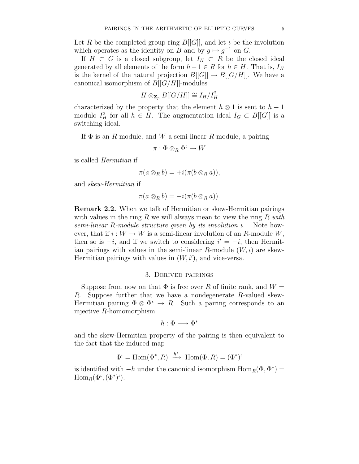Let R be the completed group ring  $B[[G]]$ , and let  $\iota$  be the involution which operates as the identity on B and by  $g \mapsto g^{-1}$  on G.

If  $H \subset G$  is a closed subgroup, let  $I_H \subset R$  be the closed ideal generated by all elements of the form  $h-1 \in R$  for  $h \in H$ . That is,  $I_H$ is the kernel of the natural projection  $B[[G]] \to B[[G/H]]$ . We have a canonical isomorphism of  $B[[G/H]]$ -modules

$$
H \otimes_{\mathbf{Z}_p} B[[G/H]] \cong I_H/I_H^2
$$

characterized by the property that the element  $h \otimes 1$  is sent to  $h - 1$ modulo  $I_H^2$  for all  $h \in H$ . The augmentation ideal  $I_G \subset B[[G]]$  is a switching ideal.

If  $\Phi$  is an R-module, and W a semi-linear R-module, a pairing

 $\pi: \Phi \otimes_R \Phi^{\iota} \to W$ 

is called Hermitian if

$$
\pi(a\otimes_R b)=+i(\pi(b\otimes_R a)),
$$

and skew-Hermitian if

$$
\pi(a\otimes_R b)=-i(\pi(b\otimes_R a)).
$$

Remark 2.2. When we talk of Hermitian or skew-Hermitian pairings with values in the ring R we will always mean to view the ring R with semi-linear R-module structure given by its involution ι. Note however, that if  $i: W \to W$  is a semi-linear involution of an R-module W, then so is  $-i$ , and if we switch to considering  $i' = -i$ , then Hermitian pairings with values in the semi-linear R-module  $(W, i)$  are skew-Hermitian pairings with values in  $(W, i')$ , and vice-versa.

### 3. Derived pairings

Suppose from now on that  $\Phi$  is free over R of finite rank, and  $W =$ R. Suppose further that we have a nondegenerate R-valued skew-Hermitian pairing  $\Phi \otimes \Phi^{\iota} \to R$ . Such a pairing corresponds to an injective R-homomorphism

$$
h:\Phi\longrightarrow\Phi^*
$$

and the skew-Hermitian property of the pairing is then equivalent to the fact that the induced map

$$
\Phi^{\iota} = \text{Hom}(\Phi^*, R) \xrightarrow{h^*} \text{Hom}(\Phi, R) = (\Phi^*)^{\iota}
$$

is identified with  $-h$  under the canonical isomorphism  $\text{Hom}_R(\Phi, \Phi^*) =$  $\mathrm{Hom}_R(\Phi^\iota, (\Phi^*)^\iota).$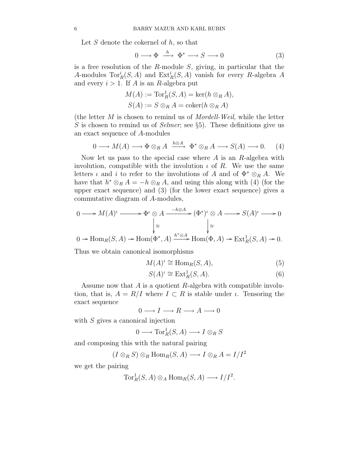Let  $S$  denote the cokernel of  $h$ , so that

$$
0 \longrightarrow \Phi \stackrel{h}{\longrightarrow} \Phi^* \longrightarrow S \longrightarrow 0 \tag{3}
$$

is a free resolution of the  $R$ -module  $S$ , giving, in particular that the A-modules  $\text{Tor}_R^i(S, A)$  and  $\text{Ext}_R^i(S, A)$  vanish for every R-algebra A and every  $i > 1$ . If A is an R-algebra put

$$
M(A) := \operatorname{Tor}_R^1(S, A) = \ker(h \otimes_R A),
$$
  

$$
S(A) := S \otimes_R A = \operatorname{coker}(h \otimes_R A)
$$

(the letter  $M$  is chosen to remind us of *Mordell-Weil*, while the letter S is chosen to remind us of Selmer; see  $\S5$ ). These definitions give us an exact sequence of A-modules

$$
0 \longrightarrow M(A) \longrightarrow \Phi \otimes_R A \xrightarrow{h \otimes A} \Phi^* \otimes_R A \longrightarrow S(A) \longrightarrow 0. \tag{4}
$$

Now let us pass to the special case where  $A$  is an  $R$ -algebra with involution, compatible with the involution  $\iota$  of R. We use the same letters *ι* and *i* to refer to the involutions of A and of  $\Phi^* \otimes_R A$ . We have that  $h^* \otimes_R A = -h \otimes_R A$ , and using this along with (4) (for the upper exact sequence) and (3) (for the lower exact sequence) gives a commutative diagram of A-modules,

$$
0 \longrightarrow M(A)^{\iota} \longrightarrow \Phi^{\iota} \otimes A \xrightarrow{-h \otimes A} (\Phi^{\ast})^{\iota} \otimes A \longrightarrow S(A)^{\iota} \longrightarrow 0
$$
  

$$
\downarrow \cong \qquad \qquad \downarrow \cong
$$
  

$$
0 \to \text{Hom}_R(S, A) \to \text{Hom}(\Phi^{\ast}, A) \xrightarrow{h^{\ast} \otimes A} \text{Hom}(\Phi, A) \to \text{Ext}^1_R(S, A) \to 0.
$$

Thus we obtain canonical isomorphisms

$$
M(A)^{\iota} \cong \text{Hom}_R(S, A),\tag{5}
$$

$$
S(A)^{\iota} \cong \operatorname{Ext}^1_R(S, A). \tag{6}
$$

Assume now that A is a quotient R-algebra with compatible involution, that is,  $A = R/I$  where  $I \subset R$  is stable under  $\iota$ . Tensoring the exact sequence

$$
0 \longrightarrow I \longrightarrow R \longrightarrow A \longrightarrow 0
$$

with S gives a canonical injection

$$
0 \longrightarrow \operatorname{Tor}^1_R(S, A) \longrightarrow I \otimes_R S
$$

and composing this with the natural pairing

 $(I \otimes_R S) \otimes_R \text{Hom}_R(S, A) \longrightarrow I \otimes_R A = I/I^2$ 

we get the pairing

$$
\operatorname{Tor}^1_R(S,A) \otimes_A \operatorname{Hom}_R(S,A) \longrightarrow I/I^2.
$$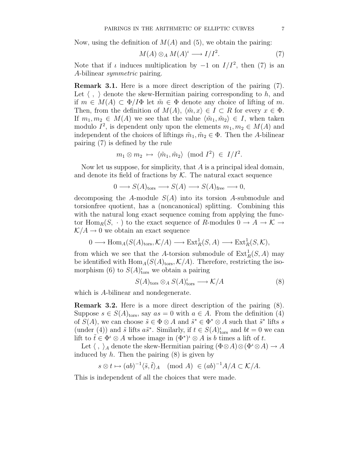Now, using the definition of  $M(A)$  and (5), we obtain the pairing:

$$
M(A) \otimes_A M(A)^{\iota} \longrightarrow I/I^2. \tag{7}
$$

Note that if  $\iota$  induces multiplication by  $-1$  on  $I/I^2$ , then (7) is an A-bilinear symmetric pairing.

Remark 3.1. Here is a more direct description of the pairing (7). Let  $\langle , \rangle$  denote the skew-Hermitian pairing corresponding to h, and if  $m \in M(A) \subset \Phi/I\Phi$  let  $\tilde{m} \in \Phi$  denote any choice of lifting of m. Then, from the definition of  $M(A)$ ,  $\langle \tilde{m}, x \rangle \in I \subset R$  for every  $x \in \Phi$ . If  $m_1, m_2 \in M(A)$  we see that the value  $\langle \tilde{m}_1, \tilde{m}_2 \rangle \in I$ , when taken modulo  $I^2$ , is dependent only upon the elements  $m_1, m_2 \in M(A)$  and independent of the choices of liftings  $\tilde{m}_1, \tilde{m}_2 \in \Phi$ . Then the A-bilinear pairing (7) is defined by the rule

$$
m_1 \otimes m_2 \mapsto \langle \tilde{m}_1, \tilde{m}_2 \rangle \pmod{I^2} \in I/I^2.
$$

Now let us suppose, for simplicity, that  $A$  is a principal ideal domain, and denote its field of fractions by  $K$ . The natural exact sequence

$$
0 \longrightarrow S(A)_{\text{tors}} \longrightarrow S(A) \longrightarrow S(A)_{\text{free}} \longrightarrow 0,
$$

decomposing the A-module  $S(A)$  into its torsion A-submodule and torsionfree quotient, has a (noncanonical) splitting. Combining this with the natural long exact sequence coming from applying the functor  $\text{Hom}_R(S, \cdot)$  to the exact sequence of R-modules  $0 \to A \to \mathcal{K} \to$  $K/A \rightarrow 0$  we obtain an exact sequence

$$
0 \longrightarrow \text{Hom}_{A}(S(A)_{\text{tors}}, \mathcal{K}/A) \longrightarrow \text{Ext}_{R}^{1}(S, A) \longrightarrow \text{Ext}_{R}^{1}(S, \mathcal{K}),
$$

from which we see that the A-torsion submodule of  $\text{Ext}^1_R(S, A)$  may be identified with  $\text{Hom}_A(S(A)_{\text{tors}}, \mathcal{K}/A)$ . Therefore, restricting the isomorphism (6) to  $S(A)_{\text{tors}}^i$  we obtain a pairing

$$
S(A)_{\text{tors}} \otimes_A S(A)_{\text{tors}}^{\iota} \longrightarrow \mathcal{K}/A \tag{8}
$$

which is A-bilinear and nondegenerate.

Remark 3.2. Here is a more direct description of the pairing (8). Suppose  $s \in S(A)_{\text{tors}}$ , say  $as = 0$  with  $a \in A$ . From the definition (4) of  $S(A)$ , we can choose  $\tilde{s} \in \Phi \otimes A$  and  $\tilde{s}^* \in \Phi^* \otimes A$  such that  $\tilde{s}^*$  lifts s (under (4)) and  $\tilde{s}$  lifts  $a\tilde{s}^*$ . Similarly, if  $t \in S(A)_{\text{tors}}^t$  and  $bt = 0$  we can lift to  $\tilde{t} \in \Phi^{\iota} \otimes A$  whose image in  $(\Phi^*)^{\iota} \otimes A$  is b times a lift of t.

Let  $\langle , \rangle_A$  denote the skew-Hermitian pairing  $(\Phi \otimes A) \otimes (\Phi^{\iota} \otimes A) \to A$ induced by  $h$ . Then the pairing  $(8)$  is given by

$$
s \otimes t \mapsto (ab)^{-1} \langle \tilde{s}, \tilde{t} \rangle_A \pmod{A} \in (ab)^{-1} A/A \subset \mathcal{K}/A.
$$

This is independent of all the choices that were made.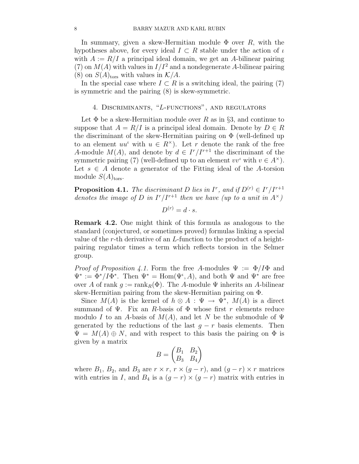In summary, given a skew-Hermitian module  $\Phi$  over R, with the hypotheses above, for every ideal  $I \subset R$  stable under the action of  $\iota$ with  $A := R/I$  a principal ideal domain, we get an A-bilinear pairing (7) on  $M(A)$  with values in  $I/I<sup>2</sup>$  and a nondegenerate A-bilinear pairing (8) on  $S(A)_{\text{tors}}$  with values in  $\mathcal{K}/A$ .

In the special case where  $I \subset R$  is a switching ideal, the pairing (7) is symmetric and the pairing (8) is skew-symmetric.

# 4. Discriminants, "L-functions", and regulators

Let  $\Phi$  be a skew-Hermitian module over R as in §3, and continue to suppose that  $A = R/I$  is a principal ideal domain. Denote by  $D \in R$ the discriminant of the skew-Hermitian pairing on  $\Phi$  (well-defined up to an element  $uu^{\iota}$  with  $u \in R^{\times}$ ). Let r denote the rank of the free A-module  $M(A)$ , and denote by  $d \in I^r/I^{r+1}$  the discriminant of the symmetric pairing (7) (well-defined up to an element  $vv^{\iota}$  with  $v \in A^{\times}$ ). Let  $s \in A$  denote a generator of the Fitting ideal of the A-torsion module  $S(A)_{\text{tors}}$ .

**Proposition 4.1.** The discriminant D lies in  $I^r$ , and if  $D^{(r)} \in I^r/I^{r+1}$ denotes the image of D in  $I^r/I^{r+1}$  then we have (up to a unit in  $A^{\times}$ )

 $D^{(r)}=d\cdot s.$ 

Remark 4.2. One might think of this formula as analogous to the standard (conjectured, or sometimes proved) formulas linking a special value of the r-th derivative of an L-function to the product of a heightpairing regulator times a term which reflects torsion in the Selmer group.

*Proof of Proposition 4.1.* Form the free A-modules  $\Psi := \Phi/I\Phi$  and  $\Psi^* := \Phi^* / I \Phi^*$ . Then  $\Psi^* = \text{Hom}(\Psi^*, A)$ , and both  $\Psi$  and  $\Psi^*$  are free over A of rank  $q := \text{rank}_B(\Phi)$ . The A-module  $\Psi$  inherits an A-bilinear skew-Hermitian pairing from the skew-Hermitian pairing on Φ.

Since  $M(A)$  is the kernel of  $h \otimes A : \Psi \to \Psi^*$ ,  $M(A)$  is a direct summand of  $\Psi$ . Fix an R-basis of  $\Phi$  whose first r elements reduce modulo I to an A-basis of  $M(A)$ , and let N be the submodule of  $\Psi$ generated by the reductions of the last  $g - r$  basis elements. Then  $\Psi = M(A) \oplus N$ , and with respect to this basis the pairing on  $\Phi$  is given by a matrix

$$
B=\begin{pmatrix}B_1&B_2\\B_3&B_4\end{pmatrix}
$$

where  $B_1$ ,  $B_2$ , and  $B_3$  are  $r \times r$ ,  $r \times (g - r)$ , and  $(g - r) \times r$  matrices with entries in I, and  $B_4$  is a  $(g - r) \times (g - r)$  matrix with entries in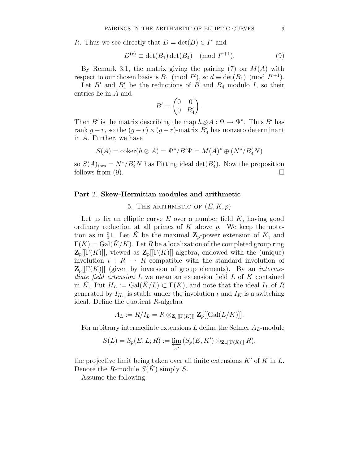R. Thus we see directly that  $D = \det(B) \in I^r$  and

$$
D^{(r)} \equiv \det(B_1) \det(B_4) \pmod{I^{r+1}}.
$$
 (9)

By Remark 3.1, the matrix giving the pairing  $(7)$  on  $M(A)$  with respect to our chosen basis is  $B_1 \pmod{I^2}$ , so  $d \equiv \det(B_1) \pmod{I^{r+1}}$ .

Let  $B'$  and  $B'_4$  be the reductions of B and  $B_4$  modulo I, so their entries lie in A and

$$
B' = \begin{pmatrix} 0 & 0 \\ 0 & B'_4 \end{pmatrix}.
$$

Then B' is the matrix describing the map  $h \otimes A : \Psi \to \Psi^*$ . Thus B' has rank  $g-r$ , so the  $(g-r) \times (g-r)$ -matrix  $B'_4$  has nonzero determinant in A. Further, we have

$$
S(A) = \operatorname{coker}(h \otimes A) = \Psi^* / B' \Psi = M(A)^* \oplus (N^* / B'_4 N)
$$

so  $S(A)_{\text{tors}} = N^*/B'_4N$  has Fitting ideal  $\det(B'_4)$ . Now the proposition follows from (9).  $\Box$ 

#### Part 2. Skew-Hermitian modules and arithmetic

5. THE ARITHMETIC OF  $(E, K, p)$ 

Let us fix an elliptic curve  $E$  over a number field  $K$ , having good ordinary reduction at all primes of  $K$  above  $p$ . We keep the notation as in §1. Let K be the maximal  $\mathbb{Z}_p$ -power extension of K, and  $\Gamma(K) = \text{Gal}(K/K)$ . Let R be a localization of the completed group ring  $\mathbf{Z}_p[[\Gamma(K)]]$ , viewed as  $\mathbf{Z}_p[[\Gamma(K)]]$ -algebra, endowed with the (unique) involution  $\iota : R \to R$  compatible with the standard involution of  $\mathbf{Z}_p[[\Gamma(K)]]$  (given by inversion of group elements). By an *interme*diate field extension  $L$  we mean an extension field  $L$  of  $K$  contained in K. Put  $H_L := \text{Gal}(K/L) \subset \Gamma(K)$ , and note that the ideal  $I_L$  of R generated by  $I_{H_L}$  is stable under the involution  $\iota$  and  $I_K$  is a switching ideal. Define the quotient R-algebra

$$
A_L := R/I_L = R \otimes_{\mathbf{Z}_p[[\Gamma(K)]]} \mathbf{Z}_p[[\mathrm{Gal}(L/K)]].
$$

For arbitrary intermediate extensions  $L$  define the Selmer  $A_L$ -module

$$
S(L) = S_p(E, L; R) := \varprojlim_{K'} \left( S_p(E, K') \otimes_{\mathbf{Z}_p[[\Gamma(K)]]} R \right),
$$

the projective limit being taken over all finite extensions  $K'$  of K in L. Denote the R-module  $S(K)$  simply S.

Assume the following: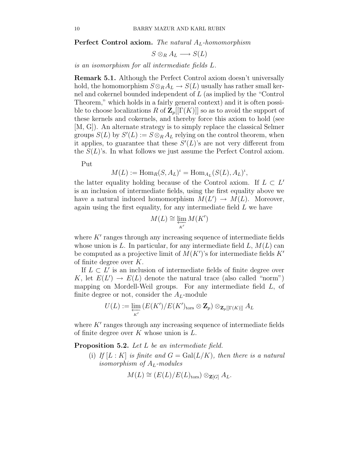**Perfect Control axiom.** The natural  $A_L$ -homomorphism

 $S \otimes_R A_L \longrightarrow S(L)$ 

is an isomorphism for all intermediate fields L.

Remark 5.1. Although the Perfect Control axiom doesn't universally hold, the homomorphism  $S \otimes_R A_L \to S(L)$  usually has rather small kernel and cokernel bounded independent of L (as implied by the "Control Theorem," which holds in a fairly general context) and it is often possible to choose localizations R of  $\mathbb{Z}_p[[\Gamma(K)]]$  so as to avoid the support of these kernels and cokernels, and thereby force this axiom to hold (see [M, G]). An alternate strategy is to simply replace the classical Selmer groups  $S(L)$  by  $S'(L) := S \otimes_R A_L$  relying on the control theorem, when it applies, to guarantee that these  $S'(L)$ 's are not very different from the  $S(L)$ 's. In what follows we just assume the Perfect Control axiom.

Put

$$
M(L) := \operatorname{Hom}_R(S, A_L)^{\iota} = \operatorname{Hom}_{A_L}(S(L), A_L)^{\iota},
$$

the latter equality holding because of the Control axiom. If  $L \subset L'$ is an inclusion of intermediate fields, using the first equality above we have a natural induced homomorphism  $M(L') \to M(L)$ . Moreover, again using the first equality, for any intermediate field L we have

$$
M(L) \cong \varprojlim_{K'} M(K')
$$

where  $K'$  ranges through any increasing sequence of intermediate fields whose union is L. In particular, for any intermediate field  $L, M(L)$  can be computed as a projective limit of  $M(K')$ 's for intermediate fields  $K'$ of finite degree over  $K$ .

If  $L \subset L'$  is an inclusion of intermediate fields of finite degree over K, let  $E(L') \to E(L)$  denote the natural trace (also called "norm") mapping on Mordell-Weil groups. For any intermediate field L, of finite degree or not, consider the  $A_L$ -module

$$
U(L) := \varprojlim_{K'} \left( E(K') / E(K')_{\text{tors}} \otimes \mathbf{Z}_p \right) \otimes_{\mathbf{Z}_p[[\Gamma(K)]]} A_L
$$

where  $K'$  ranges through any increasing sequence of intermediate fields of finite degree over  $K$  whose union is  $L$ .

Proposition 5.2. Let L be an intermediate field.

(i) If  $[L: K]$  is finite and  $G = \text{Gal}(L/K)$ , then there is a natural isomorphism of  $A_L$ -modules

$$
M(L) \cong (E(L)/E(L)_{\text{tors}}) \otimes_{\mathbf{Z}[G]} A_L.
$$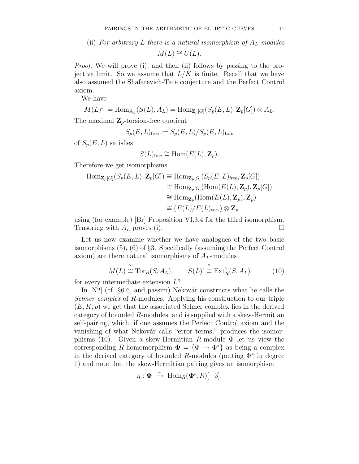(ii) For arbitrary L there is a natural isomorphism of  $A_L$ -modules

 $M(L) \cong U(L)$ .

Proof. We will prove (i), and then (ii) follows by passing to the projective limit. So we assume that  $L/K$  is finite. Recall that we have also assumed the Shafarevich-Tate conjecture and the Perfect Control axiom.

We have

$$
M(L)^{\iota} = \text{Hom}_{A_L}(S(L), A_L) = \text{Hom}_{\mathbf{Z}_p[G]}(S_p(E, L), \mathbf{Z}_p[G]) \otimes A_L.
$$

The maximal  $\mathbf{Z}_p$ -torsion-free quotient

$$
S_p(E,L)_{\rm free} := S_p(E,L)/S_p(E,L)_{\rm tors}
$$

of  $S_p(E,L)$  satisfies

$$
S(L)_{\text{free}} \cong \text{Hom}(E(L), \mathbf{Z}_p).
$$

Therefore we get isomorphisms

$$
\begin{aligned} \text{Hom}_{\mathbf{Z}_p[G]}(S_p(E, L), \mathbf{Z}_p[G]) &\cong \text{Hom}_{\mathbf{Z}_p[G]}(S_p(E, L)_{\text{free}}, \mathbf{Z}_p[G]) \\ &\cong \text{Hom}_{\mathbf{Z}_p[G]}(\text{Hom}(E(L), \mathbf{Z}_p), \mathbf{Z}_p[G]) \\ &\cong \text{Hom}_{\mathbf{Z}_p}(\text{Hom}(E(L), \mathbf{Z}_p), \mathbf{Z}_p) \\ &\cong (E(L)/E(L)_{\text{tors}}) \otimes \mathbf{Z}_p \end{aligned}
$$

using (for example) [Br] Proposition VI.3.4 for the third isomorphism. Tensoring with  $A_L$  proves (i).

Let us now examine whether we have analogues of the two basic isomorphisms (5), (6) of §3. Specifically (assuming the Perfect Control axiom) are there natural isomorphisms of  $A_L$ -modules

$$
M(L) \stackrel{?}{\cong} \operatorname{Tor}_R(S, A_L), \qquad S(L)^t \stackrel{?}{\cong} \operatorname{Ext}^1_R(S, A_L) \tag{10}
$$

for every intermediate extension L?

In  $[N2]$  (cf. §6.6, and passim) Nekovár constructs what he calls the Selmer complex of R-modules. Applying his construction to our triple  $(E, K, p)$  we get that the associated Selmer complex lies in the derived category of bounded R-modules, and is supplied with a skew-Hermitian self-pairing, which, if one assumes the Perfect Control axiom and the vanishing of what Nekovár calls "error terms," produces the isomorphisms (10). Given a skew-Hermitian R-module  $\Phi$  let us view the corresponding R-homomorphism  $\Phi = {\Phi \to \Phi^* }$  as being a complex in the derived category of bounded R-modules (putting  $\Phi^*$  in degree 1) and note that the skew-Hermitian pairing gives an isomorphism

$$
\eta: \mathbf{\Phi} \stackrel{\sim}{\to} \text{Hom}_R(\mathbf{\Phi}^{\iota}, R)[-3].
$$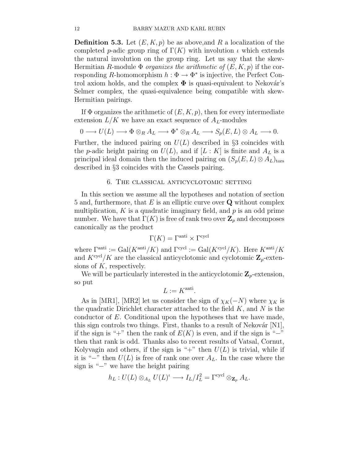**Definition 5.3.** Let  $(E, K, p)$  be as above, and R a localization of the completed p-adic group ring of  $\Gamma(K)$  with involution  $\iota$  which extends the natural involution on the group ring. Let us say that the skew-Hermitian R-module  $\Phi$  *organizes the arithmetic of*  $(E, K, p)$  if the corresponding R-homomorphism  $h : \Phi \to \Phi^*$  is injective, the Perfect Control axiom holds, and the complex  $\Phi$  is quasi-equivalent to Nekovár's Selmer complex, the quasi-equivalence being compatible with skew-Hermitian pairings.

If  $\Phi$  organizes the arithmetic of  $(E, K, p)$ , then for every intermediate extension  $L/K$  we have an exact sequence of  $A_L$ -modules

$$
0 \longrightarrow U(L) \longrightarrow \Phi \otimes_R A_L \longrightarrow \Phi^* \otimes_R A_L \longrightarrow S_p(E, L) \otimes A_L \longrightarrow 0.
$$

Further, the induced pairing on  $U(L)$  described in §3 coincides with the p-adic height pairing on  $U(L)$ , and if  $[L: K]$  is finite and  $A_L$  is a principal ideal domain then the induced pairing on  $(S_p(E,L) \otimes A_L)_{\text{tors}}$ described in §3 coincides with the Cassels pairing.

#### 6. The classical anticyclotomic setting

In this section we assume all the hypotheses and notation of section 5 and, furthermore, that  $E$  is an elliptic curve over  $Q$  without complex multiplication,  $K$  is a quadratic imaginary field, and  $p$  is an odd prime number. We have that  $\Gamma(K)$  is free of rank two over  $\mathbb{Z}_p$  and decomposes canonically as the product

$$
\Gamma(K) = \Gamma^{\text{anti}} \times \Gamma^{\text{cycl}}
$$

where  $\Gamma^{\text{anti}} := \text{Gal}(K^{\text{anti}}/K)$  and  $\Gamma^{\text{cycl}} := \text{Gal}(K^{\text{cycl}}/K)$ . Here  $K^{\text{anti}}/K$ and  $K^{\text{cycl}}/K$  are the classical anticyclotomic and cyclotomic  $\mathbf{Z}_p$ -extensions of  $K$ , respectively.

We will be particularly interested in the anticyclotomic  $\mathbf{Z}_p$ -extension, so put

$$
L := K^{\text{anti}}.
$$

As in [MR1], [MR2] let us consider the sign of  $\chi_K(-N)$  where  $\chi_K$  is the quadratic Dirichlet character attached to the field  $K$ , and  $N$  is the conductor of E. Conditional upon the hypotheses that we have made, this sign controls two things. First, thanks to a result of Nekovár  $[N1]$ , if the sign is "+" then the rank of  $E(K)$  is even, and if the sign is "−" then that rank is odd. Thanks also to recent results of Vatsal, Cornut, Kolyvagin and others, if the sign is "+" then  $U(L)$  is trivial, while if it is "−" then  $U(L)$  is free of rank one over  $A_L$ . In the case where the sign is "−" we have the height pairing

$$
h_L: U(L) \otimes_{A_L} U(L)^{\iota} \longrightarrow I_L/I_L^2 = \Gamma^{\text{cycl}} \otimes_{\mathbf{Z}_p} A_L.
$$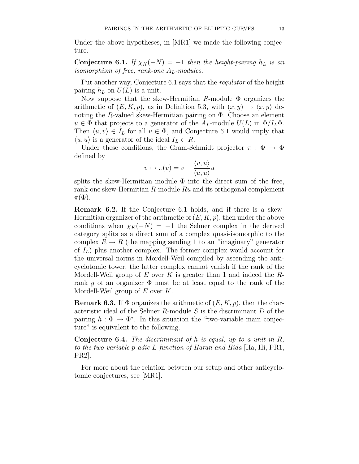Under the above hypotheses, in [MR1] we made the following conjecture.

Conjecture 6.1. If  $\chi_K(-N) = -1$  then the height-pairing  $h_L$  is an isomorphism of free, rank-one  $A_L$ -modules.

Put another way, Conjecture 6.1 says that the regulator of the height pairing  $h_L$  on  $U(L)$  is a unit.

Now suppose that the skew-Hermitian R-module  $\Phi$  organizes the arithmetic of  $(E, K, p)$ , as in Definition 5.3, with  $(x, y) \mapsto \langle x, y \rangle$  denoting the R-valued skew-Hermitian pairing on  $\Phi$ . Choose an element  $u \in \Phi$  that projects to a generator of the  $A_L$ -module  $U(L)$  in  $\Phi/I_L\Phi$ . Then  $\langle u, v \rangle \in I_L$  for all  $v \in \Phi$ , and Conjecture 6.1 would imply that  $\langle u, u \rangle$  is a generator of the ideal  $I_L \subset R$ .

Under these conditions, the Gram-Schmidt projector  $\pi : \Phi \to \Phi$ defined by

$$
v \mapsto \pi(v) = v - \frac{\langle v, u \rangle}{\langle u, u \rangle} u
$$

splits the skew-Hermitian module  $\Phi$  into the direct sum of the free, rank-one skew-Hermitian R-module Ru and its orthogonal complement  $\pi(\Phi).$ 

Remark 6.2. If the Conjecture 6.1 holds, and if there is a skew-Hermitian organizer of the arithmetic of  $(E, K, p)$ , then under the above conditions when  $\chi_K(-N) = -1$  the Selmer complex in the derived category splits as a direct sum of a complex quasi-isomorphic to the complex  $R \to R$  (the mapping sending 1 to an "imaginary" generator of  $I_L$ ) plus another complex. The former complex would account for the universal norms in Mordell-Weil compiled by ascending the anticyclotomic tower; the latter complex cannot vanish if the rank of the Mordell-Weil group of E over K is greater than 1 and indeed the  $R$ rank g of an organizer  $\Phi$  must be at least equal to the rank of the Mordell-Weil group of  $E$  over  $K$ .

**Remark 6.3.** If  $\Phi$  organizes the arithmetic of  $(E, K, p)$ , then the characteristic ideal of the Selmer R-module  $S$  is the discriminant  $D$  of the pairing  $h : \Phi \to \Phi^*$ . In this situation the "two-variable main conjecture" is equivalent to the following.

**Conjecture 6.4.** The discriminant of  $h$  is equal, up to a unit in  $R$ , to the two-variable p-adic L-function of Haran and Hida [Ha, Hi, PR1, PR2].

For more about the relation between our setup and other anticyclotomic conjectures, see [MR1].